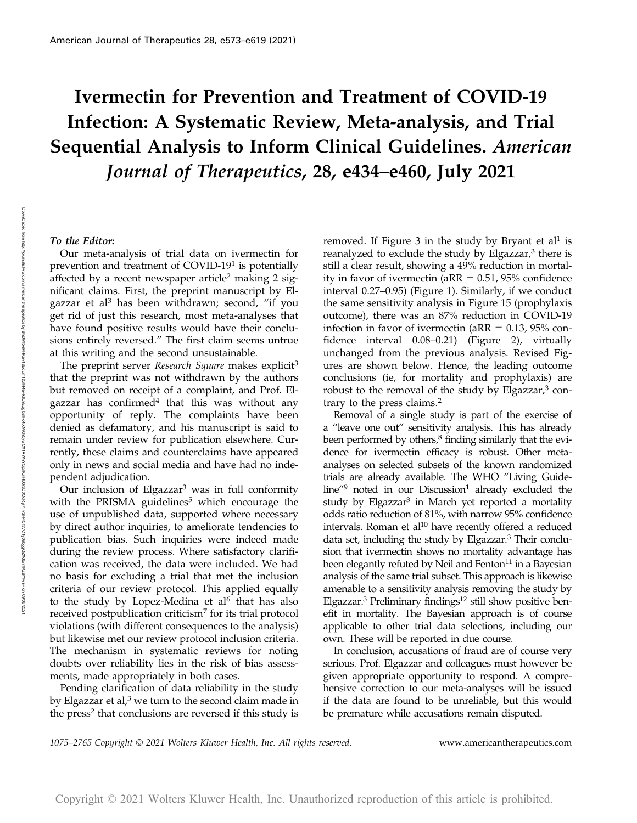# Ivermectin for Prevention and Treatment of COVID-19 Infection: A Systematic Review, Meta-analysis, and Trial Sequential Analysis to Inform Clinical Guidelines. American Journal of Therapeutics, 28, e434–e460, July 2021

#### To the Editor:

Our meta-analysis of trial data on ivermectin for prevention and treatment of COVID-19<sup>1</sup> is potentially affected by a recent newspaper article<sup>2</sup> making 2 significant claims. First, the preprint manuscript by Elgazzar et al<sup>3</sup> has been withdrawn; second, "if you get rid of just this research, most meta-analyses that have found positive results would have their conclusions entirely reversed." The first claim seems untrue at this writing and the second unsustainable.

The preprint server Research Square makes explicit<sup>3</sup> that the preprint was not withdrawn by the authors but removed on receipt of a complaint, and Prof. Elgazzar has confirmed<sup>4</sup> that this was without any opportunity of reply. The complaints have been denied as defamatory, and his manuscript is said to remain under review for publication elsewhere. Currently, these claims and counterclaims have appeared only in news and social media and have had no independent adjudication.

Our inclusion of Elgazzar<sup>3</sup> was in full conformity with the PRISMA guidelines<sup>5</sup> which encourage the use of unpublished data, supported where necessary by direct author inquiries, to ameliorate tendencies to publication bias. Such inquiries were indeed made during the review process. Where satisfactory clarification was received, the data were included. We had no basis for excluding a trial that met the inclusion criteria of our review protocol. This applied equally to the study by Lopez-Medina et al<sup>6</sup> that has also received postpublication criticism<sup>7</sup> for its trial protocol violations (with different consequences to the analysis) but likewise met our review protocol inclusion criteria. The mechanism in systematic reviews for noting doubts over reliability lies in the risk of bias assessments, made appropriately in both cases.

Pending clarification of data reliability in the study by Elgazzar et al, $3$  we turn to the second claim made in the press<sup>2</sup> that conclusions are reversed if this study is removed. If Figure 3 in the study by Bryant et al<sup>1</sup> is reanalyzed to exclude the study by Elgazzar, $3$  there is still a clear result, showing a 49% reduction in mortality in favor of ivermectin ( $aRR = 0.51$ , 95% confidence interval 0.27–0.95) (Figure 1). Similarly, if we conduct the same sensitivity analysis in Figure 15 (prophylaxis outcome), there was an 87% reduction in COVID-19 infection in favor of ivermectin ( $aRR = 0.13$ , 95% confidence interval 0.08–0.21) (Figure 2), virtually unchanged from the previous analysis. Revised Figures are shown below. Hence, the leading outcome conclusions (ie, for mortality and prophylaxis) are robust to the removal of the study by Elgazzar,<sup>3</sup> contrary to the press claims.<sup>2</sup>

Removal of a single study is part of the exercise of a "leave one out" sensitivity analysis. This has already been performed by others,<sup>8</sup> finding similarly that the evidence for ivermectin efficacy is robust. Other metaanalyses on selected subsets of the known randomized trials are already available. The WHO "Living Guide $line''^9$  noted in our Discussion<sup>1</sup> already excluded the study by Elgazzar<sup>3</sup> in March yet reported a mortality odds ratio reduction of 81%, with narrow 95% confidence intervals. Roman et al<sup>10</sup> have recently offered a reduced data set, including the study by Elgazzar.<sup>3</sup> Their conclusion that ivermectin shows no mortality advantage has been elegantly refuted by Neil and Fenton $11$  in a Bayesian analysis of the same trial subset. This approach is likewise amenable to a sensitivity analysis removing the study by Elgazzar.3 Preliminary findings12 still show positive benefit in mortality. The Bayesian approach is of course applicable to other trial data selections, including our own. These will be reported in due course.

In conclusion, accusations of fraud are of course very serious. Prof. Elgazzar and colleagues must however be given appropriate opportunity to respond. A comprehensive correction to our meta-analyses will be issued if the data are found to be unreliable, but this would be premature while accusations remain disputed.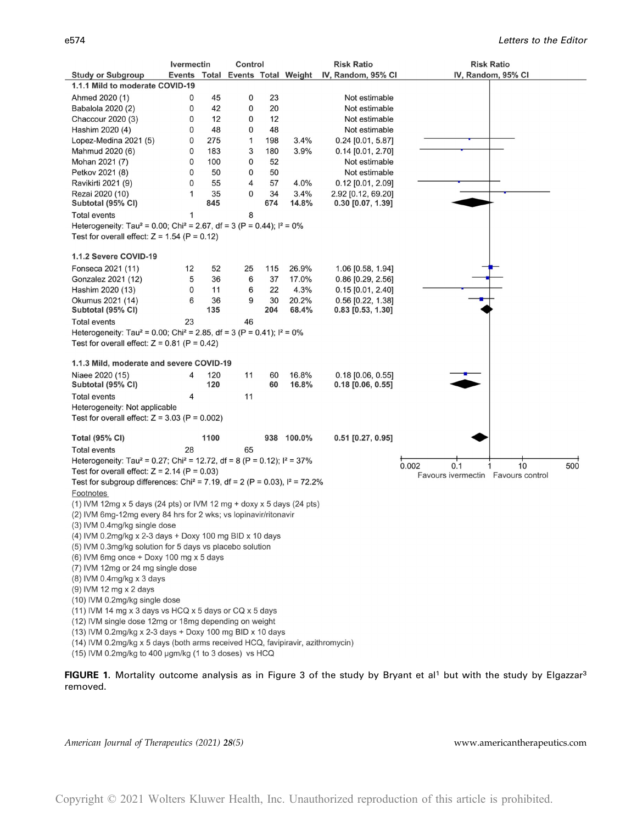|                                                                                                                                                                                 | <b>Ivermectin</b> | Control            |     |            | <b>Risk Ratio</b>                                   | <b>Risk Ratio</b>  |
|---------------------------------------------------------------------------------------------------------------------------------------------------------------------------------|-------------------|--------------------|-----|------------|-----------------------------------------------------|--------------------|
| <b>Study or Subgroup</b>                                                                                                                                                        |                   |                    |     |            | Events Total Events Total Weight IV, Random, 95% CI | IV, Random, 95% CI |
| 1.1.1 Mild to moderate COVID-19                                                                                                                                                 |                   |                    |     |            |                                                     |                    |
| Ahmed 2020 (1)                                                                                                                                                                  | 0                 | 45<br>0            | 23  |            | Not estimable                                       |                    |
| Babalola 2020 (2)                                                                                                                                                               | 0                 | 0<br>42            | 20  |            | Not estimable                                       |                    |
| Chaccour 2020 (3)                                                                                                                                                               | 0                 | 12<br>0            | 12  |            | Not estimable                                       |                    |
| Hashim 2020 (4)                                                                                                                                                                 | 0                 | 48<br>0            | 48  |            | Not estimable                                       |                    |
| Lopez-Medina 2021 (5)                                                                                                                                                           | 0                 | 275<br>$\mathbf 1$ | 198 | 3.4%       | $0.24$ [0.01, 5.87]                                 |                    |
| Mahmud 2020 (6)                                                                                                                                                                 | 0                 | 183<br>3           | 180 | 3.9%       | $0.14$ [0.01, 2.70]                                 |                    |
| Mohan 2021 (7)                                                                                                                                                                  | $\mathbf 0$       | 100<br>0           | 52  |            | Not estimable                                       |                    |
| Petkov 2021 (8)                                                                                                                                                                 | 0                 | 0<br>50            | 50  |            | Not estimable                                       |                    |
| Ravikirti 2021 (9)                                                                                                                                                              | 0                 | 55<br>4            | 57  | 4.0%       | $0.12$ [0.01, 2.09]                                 |                    |
| Rezai 2020 (10)                                                                                                                                                                 | 1                 | 35<br>0            | 34  | 3.4%       | 2.92 [0.12, 69.20]                                  |                    |
| Subtotal (95% CI)                                                                                                                                                               |                   | 845                | 674 | 14.8%      | $0.30$ [0.07, 1.39]                                 |                    |
| <b>Total events</b>                                                                                                                                                             | 1                 | 8                  |     |            |                                                     |                    |
| Heterogeneity: Tau <sup>2</sup> = 0.00; Chi <sup>2</sup> = 2.67, df = 3 (P = 0.44); $1^2$ = 0%                                                                                  |                   |                    |     |            |                                                     |                    |
| Test for overall effect: $Z = 1.54$ (P = 0.12)                                                                                                                                  |                   |                    |     |            |                                                     |                    |
|                                                                                                                                                                                 |                   |                    |     |            |                                                     |                    |
| 1.1.2 Severe COVID-19                                                                                                                                                           |                   |                    |     |            |                                                     |                    |
| Fonseca 2021 (11)                                                                                                                                                               | 12                | 52<br>25           | 115 | 26.9%      | 1.06 [0.58, 1.94]                                   |                    |
| Gonzalez 2021 (12)                                                                                                                                                              | 5                 | 36<br>6            | 37  | 17.0%      | $0.86$ [0.29, 2.56]                                 |                    |
| Hashim 2020 (13)                                                                                                                                                                | 0                 | 11<br>6            | 22  | 4.3%       | $0.15$ [0.01, 2.40]                                 |                    |
| Okumus 2021 (14)                                                                                                                                                                | 6                 | 36<br>9            | 30  | 20.2%      | 0.56 [0.22, 1.38]                                   |                    |
| Subtotal (95% CI)                                                                                                                                                               |                   | 135                | 204 | 68.4%      | $0.83$ [0.53, 1.30]                                 |                    |
| <b>Total events</b>                                                                                                                                                             | 23                | 46                 |     |            |                                                     |                    |
| Heterogeneity: Tau <sup>2</sup> = 0.00; Chi <sup>2</sup> = 2.85, df = 3 (P = 0.41); $I^2 = 0\%$                                                                                 |                   |                    |     |            |                                                     |                    |
| Test for overall effect: $Z = 0.81$ (P = 0.42)                                                                                                                                  |                   |                    |     |            |                                                     |                    |
|                                                                                                                                                                                 |                   |                    |     |            |                                                     |                    |
| 1.1.3 Mild, moderate and severe COVID-19                                                                                                                                        |                   |                    |     |            |                                                     |                    |
| Niaee 2020 (15)                                                                                                                                                                 | 4                 | 120<br>11          | 60  | 16.8%      | $0.18$ [0.06, 0.55]                                 |                    |
| Subtotal (95% CI)                                                                                                                                                               |                   | 120                | 60  | 16.8%      | $0.18$ [0.06, 0.55]                                 |                    |
| <b>Total events</b>                                                                                                                                                             | 4                 | 11                 |     |            |                                                     |                    |
| Heterogeneity: Not applicable                                                                                                                                                   |                   |                    |     |            |                                                     |                    |
| Test for overall effect: $Z = 3.03$ (P = 0.002)                                                                                                                                 |                   |                    |     |            |                                                     |                    |
| <b>Total (95% CI)</b>                                                                                                                                                           | 1100              |                    |     | 938 100.0% | $0.51$ [0.27, 0.95]                                 |                    |
|                                                                                                                                                                                 |                   |                    |     |            |                                                     |                    |
| <b>Total events</b>                                                                                                                                                             | 28                | 65                 |     |            |                                                     |                    |
| Heterogeneity: Tau <sup>2</sup> = 0.27; Chi <sup>2</sup> = 12.72, df = 8 (P = 0.12); $1^2$ = 37%<br>0.1<br>0.002<br>10<br>500<br>Test for overall effect: $Z = 2.14$ (P = 0.03) |                   |                    |     |            |                                                     |                    |
| Favours ivermectin  Favours control<br>Test for subgroup differences: Chi <sup>2</sup> = 7.19, df = 2 (P = 0.03), $I^2$ = 72.2%                                                 |                   |                    |     |            |                                                     |                    |
|                                                                                                                                                                                 |                   |                    |     |            |                                                     |                    |
| Footnotes                                                                                                                                                                       |                   |                    |     |            |                                                     |                    |
| (1) IVM 12mg x 5 days (24 pts) or IVM 12 mg + doxy x 5 days (24 pts)<br>(2) IVM 6mg-12mg every 84 hrs for 2 wks; vs lopinavir/ritonavir                                         |                   |                    |     |            |                                                     |                    |
| (3) IVM 0.4mg/kg single dose                                                                                                                                                    |                   |                    |     |            |                                                     |                    |
| (4) IVM 0.2mg/kg x 2-3 days + Doxy 100 mg BID x 10 days                                                                                                                         |                   |                    |     |            |                                                     |                    |
| (5) IVM 0.3mg/kg solution for 5 days vs placebo solution                                                                                                                        |                   |                    |     |            |                                                     |                    |
| (6) IVM 6mg once + Doxy 100 mg x 5 days                                                                                                                                         |                   |                    |     |            |                                                     |                    |
| (7) IVM 12mg or 24 mg single dose                                                                                                                                               |                   |                    |     |            |                                                     |                    |
| (8) IVM 0.4mg/kg x 3 days                                                                                                                                                       |                   |                    |     |            |                                                     |                    |
| (9) IVM 12 mg x 2 days                                                                                                                                                          |                   |                    |     |            |                                                     |                    |
| (10) IVM 0.2mg/kg single dose                                                                                                                                                   |                   |                    |     |            |                                                     |                    |
| (11) IVM 14 mg x 3 days vs HCQ x 5 days or CQ x 5 days                                                                                                                          |                   |                    |     |            |                                                     |                    |
| (12) IVM single dose 12mg or 18mg depending on weight                                                                                                                           |                   |                    |     |            |                                                     |                    |
| (13) IVM 0.2mg/kg x 2-3 days + Doxy 100 mg BID x 10 days                                                                                                                        |                   |                    |     |            |                                                     |                    |
| (14) IVM 0.2mg/kg x 5 days (both arms received HCQ, favipiravir, azithromycin)                                                                                                  |                   |                    |     |            |                                                     |                    |
| (15) IVM 0.2mg/kg to 400 ugm/kg (1 to 3 doses) vs HCQ                                                                                                                           |                   |                    |     |            |                                                     |                    |
|                                                                                                                                                                                 |                   |                    |     |            |                                                     |                    |

FIGURE 1. Mortality outcome analysis as in Figure 3 of the study by Bryant et al<sup>1</sup> but with the study by Elgazzar<sup>3</sup> removed.

American Journal of Therapeutics (2021) 28(5) Shows americantherapeutics.com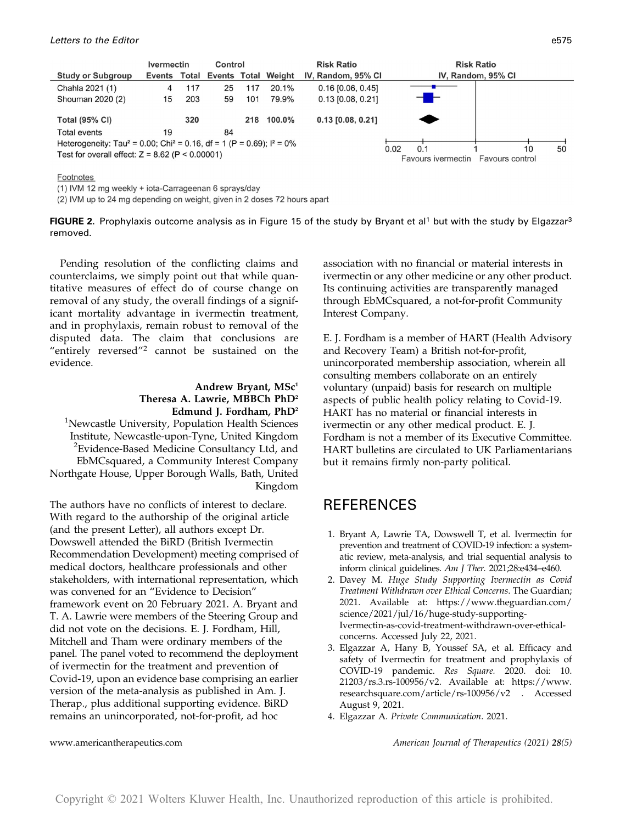

**Footnotes** 

(1) IVM 12 mg weekly + iota-Carrageenan 6 sprays/day

(2) IVM up to 24 mg depending on weight, given in 2 doses 72 hours apart



Pending resolution of the conflicting claims and counterclaims, we simply point out that while quantitative measures of effect do of course change on removal of any study, the overall findings of a significant mortality advantage in ivermectin treatment, and in prophylaxis, remain robust to removal of the disputed data. The claim that conclusions are "entirely reversed"<sup>2</sup> cannot be sustained on the evidence.

### Andrew Bryant, MSc<sup>1</sup> Theresa A. Lawrie, MBBCh PhD2 Edmund J. Fordham, PhD2

<sup>1</sup>Newcastle University, Population Health Sciences Institute, Newcastle-upon-Tyne, United Kingdom <sup>2</sup> Evidence-Based Medicine Consultancy Ltd, and EbMCsquared, a Community Interest Company Northgate House, Upper Borough Walls, Bath, United Kingdom

The authors have no conflicts of interest to declare. With regard to the authorship of the original article (and the present Letter), all authors except Dr. Dowswell attended the BiRD (British Ivermectin Recommendation Development) meeting comprised of medical doctors, healthcare professionals and other stakeholders, with international representation, which was convened for an "Evidence to Decision" framework event on 20 February 2021. A. Bryant and T. A. Lawrie were members of the Steering Group and did not vote on the decisions. E. J. Fordham, Hill, Mitchell and Tham were ordinary members of the panel. The panel voted to recommend the deployment of ivermectin for the treatment and prevention of Covid-19, upon an evidence base comprising an earlier version of the meta-analysis as published in Am. J. Therap., plus additional supporting evidence. BiRD remains an unincorporated, not-for-profit, ad hoc

association with no financial or material interests in ivermectin or any other medicine or any other product. Its continuing activities are transparently managed through EbMCsquared, a not-for-profit Community Interest Company.

E. J. Fordham is a member of HART (Health Advisory and Recovery Team) a British not-for-profit, unincorporated membership association, wherein all consulting members collaborate on an entirely voluntary (unpaid) basis for research on multiple aspects of public health policy relating to Covid-19. HART has no material or financial interests in ivermectin or any other medical product. E. J. Fordham is not a member of its Executive Committee. HART bulletins are circulated to UK Parliamentarians but it remains firmly non-party political.

### REFERENCES

- 1. Bryant A, Lawrie TA, Dowswell T, et al. Ivermectin for prevention and treatment of COVID-19 infection: a systematic review, meta-analysis, and trial sequential analysis to inform clinical guidelines. Am J Ther. 2021;28:e434–e460.
- 2. Davey M. Huge Study Supporting Ivermectin as Covid Treatment Withdrawn over Ethical Concerns. The Guardian; 2021. Available at: [https://www.theguardian.com/](https://www.theguardian.com/science/2021/jul/16/huge-study-supporting-Ivermectin-as-covid-treatment-withdrawn-over-ethical-concerns) [science/2021/jul/16/huge-study-supporting-](https://www.theguardian.com/science/2021/jul/16/huge-study-supporting-Ivermectin-as-covid-treatment-withdrawn-over-ethical-concerns)[Ivermectin-as-covid-treatment-withdrawn-over-ethical](https://www.theguardian.com/science/2021/jul/16/huge-study-supporting-Ivermectin-as-covid-treatment-withdrawn-over-ethical-concerns)[concerns.](https://www.theguardian.com/science/2021/jul/16/huge-study-supporting-Ivermectin-as-covid-treatment-withdrawn-over-ethical-concerns) Accessed July 22, 2021.
- 3. Elgazzar A, Hany B, Youssef SA, et al. Efficacy and safety of Ivermectin for treatment and prophylaxis of COVID-19 pandemic. Res Square. 2020. doi: 10. 21203/rs.3.rs-100956/v2. Available at: [https://www.](https://www.researchsquare.com/article/rs-100956/v2) [researchsquare.com/article/rs-100956/v2](https://www.researchsquare.com/article/rs-100956/v2) . Accessed August 9, 2021.
- 4. Elgazzar A. Private Communication. 2021.

www.americantherapeutics.com and a merican Journal of Therapeutics (2021) 28(5)